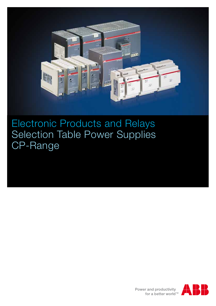

Electronic Products and Relays Selection Table Power Supplies CP-Range

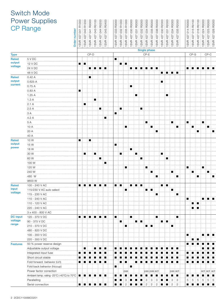### Switch Mode Power C<sub>l</sub>

|                  | Power Supplies<br>CP Range                 |                    |                    |                    |                    |                                                                                                      |                    |                    |                    |                    |                    |                    |                    |                    |                    |                    |                    |                    |                    |                    |                    |                    |                    |                    |                    |                    |
|------------------|--------------------------------------------|--------------------|--------------------|--------------------|--------------------|------------------------------------------------------------------------------------------------------|--------------------|--------------------|--------------------|--------------------|--------------------|--------------------|--------------------|--------------------|--------------------|--------------------|--------------------|--------------------|--------------------|--------------------|--------------------|--------------------|--------------------|--------------------|--------------------|--------------------|
|                  | Order number                               | 1SVR 427 041 R1000 | 1SVR 427 043 R1200 | 1SVR 427 041 R0000 | 1SVR 427 043 R0100 | 1SVR 427 044 R0200                                                                                   | 1SVR 427 045 R0400 | 1SVR 427 033 R3000 | 1SVR 427 032 R1000 | 1SVR 427 035 R1000 | 1SVR 427 030 R0000 | 1SVR 427 031 R0000 | 1SVR 427 032 R0000 | 1SVR 427 034 R0000 | 1SVR 427 035 R0000 | 1SVR 427 036 R0000 | 1SVR 427 030 R2000 | 1SVR 427 031 R2000 | 1SVR 427 034 R0000 | 1SVR 427 035 R2000 | 1SVR 427 014 R0000 | 1SVR 427 015 R0100 | 1SVR 427 016 R0100 | 1SVR 427 024 R0000 | 1SVR 427 025 R0000 | 1SVR 427 026 R0000 |
|                  |                                            |                    |                    |                    |                    |                                                                                                      |                    |                    |                    |                    |                    |                    | Single phase       |                    |                    |                    |                    |                    |                    |                    |                    |                    |                    |                    |                    |                    |
| <b>Type</b>      |                                            |                    |                    | CP-D               |                    |                                                                                                      |                    |                    |                    |                    |                    |                    |                    | $CP-E$             |                    |                    |                    |                    |                    |                    |                    | $CP-S$             |                    |                    | $CP-C$             |                    |
| Rated<br>output  | 5 V DC                                     |                    |                    |                    |                    |                                                                                                      |                    | п                  |                    |                    |                    |                    |                    |                    |                    |                    |                    |                    |                    |                    |                    |                    |                    |                    |                    |                    |
| voltage          | 12 V DC                                    | $\blacksquare$     | п                  |                    |                    |                                                                                                      |                    |                    | $\blacksquare$     | п                  |                    |                    |                    |                    |                    |                    |                    |                    |                    |                    |                    |                    |                    |                    |                    |                    |
|                  | 24 V DC<br>48 V DC                         |                    |                    | $\blacksquare$     | п                  | n i n                                                                                                |                    |                    |                    |                    |                    | i ∎                | п                  | п                  | п                  | ▏▊                 |                    |                    |                    |                    | п                  | п                  |                    |                    |                    |                    |
| Rated            | 0.42A                                      |                    |                    |                    |                    |                                                                                                      |                    |                    |                    |                    |                    |                    |                    |                    |                    |                    |                    | ▆░▆░▆░▆            |                    |                    |                    |                    |                    |                    |                    |                    |
| output           | 0.625A                                     |                    |                    | $\blacksquare$     |                    |                                                                                                      |                    |                    |                    |                    |                    |                    |                    |                    |                    |                    | п                  |                    |                    |                    |                    |                    |                    |                    |                    |                    |
| current          | 0.75A                                      |                    |                    |                    |                    |                                                                                                      |                    |                    |                    |                    | п                  |                    |                    |                    |                    |                    |                    |                    |                    |                    |                    |                    |                    |                    |                    |                    |
|                  | 0.83A                                      | $\blacksquare$     |                    |                    |                    |                                                                                                      |                    |                    |                    |                    |                    |                    |                    |                    |                    |                    |                    |                    |                    |                    |                    |                    |                    |                    |                    |                    |
|                  | 1.25A                                      |                    |                    |                    |                    |                                                                                                      |                    |                    |                    |                    |                    | П                  |                    |                    |                    |                    |                    | $\blacksquare$     |                    |                    |                    |                    |                    |                    |                    |                    |
|                  | 1.3A                                       |                    |                    |                    | п                  |                                                                                                      |                    |                    |                    |                    |                    |                    |                    |                    |                    |                    |                    |                    |                    |                    |                    |                    |                    |                    |                    |                    |
|                  | 2.1 A                                      |                    | п                  |                    |                    |                                                                                                      |                    |                    |                    |                    |                    |                    |                    |                    |                    |                    |                    |                    |                    |                    |                    |                    |                    |                    |                    |                    |
|                  | 2.5A                                       |                    |                    |                    |                    | $\blacksquare$                                                                                       |                    |                    | п                  |                    |                    |                    | $\blacksquare$     |                    |                    |                    |                    |                    |                    |                    |                    |                    |                    |                    |                    |                    |
|                  | 3A                                         |                    |                    |                    |                    |                                                                                                      |                    | п                  |                    |                    |                    |                    |                    |                    |                    |                    |                    |                    |                    |                    |                    |                    |                    |                    |                    |                    |
|                  | 4.2 A                                      |                    |                    |                    |                    |                                                                                                      | п                  |                    |                    |                    |                    |                    |                    |                    |                    |                    |                    |                    |                    |                    |                    |                    |                    |                    |                    |                    |
|                  | 5 A                                        |                    |                    |                    |                    |                                                                                                      |                    |                    |                    |                    |                    |                    |                    | $\blacksquare$     |                    |                    |                    |                    | ш                  |                    | п                  |                    |                    | ■                  |                    |                    |
|                  | 10 A                                       |                    |                    |                    |                    |                                                                                                      |                    |                    |                    | п                  |                    |                    |                    |                    | ■                  |                    |                    |                    |                    | $\blacksquare$     |                    | П                  |                    |                    | п                  |                    |
|                  | 20 A                                       |                    |                    |                    |                    |                                                                                                      |                    |                    |                    |                    |                    |                    |                    |                    |                    | п                  |                    |                    |                    |                    |                    |                    | п                  |                    |                    | п                  |
|                  | 40 A                                       |                    |                    |                    |                    |                                                                                                      |                    |                    |                    |                    |                    |                    |                    |                    |                    |                    |                    |                    |                    |                    |                    |                    |                    |                    |                    |                    |
| Rated            | 10 W                                       | п                  |                    | п                  |                    |                                                                                                      |                    |                    |                    |                    |                    |                    |                    |                    |                    |                    |                    |                    |                    |                    |                    |                    |                    |                    |                    |                    |
| output           | 15W                                        |                    |                    |                    |                    |                                                                                                      |                    | п                  |                    |                    |                    |                    |                    |                    |                    |                    |                    |                    |                    |                    |                    |                    |                    |                    |                    |                    |
| power            | 18 W                                       |                    |                    |                    |                    |                                                                                                      |                    |                    |                    |                    | п                  |                    |                    |                    |                    |                    |                    |                    |                    |                    |                    |                    |                    |                    |                    |                    |
|                  | 30 W                                       |                    | п                  |                    | $\blacksquare$     |                                                                                                      |                    |                    | $\blacksquare$     |                    |                    | $\blacksquare$     |                    |                    |                    |                    | п                  |                    |                    |                    |                    |                    |                    |                    |                    |                    |
|                  | 60 W                                       |                    |                    |                    |                    | $\blacksquare$                                                                                       |                    |                    |                    |                    |                    |                    | п                  |                    |                    |                    |                    | п                  |                    |                    |                    |                    |                    |                    |                    |                    |
|                  | 100 W                                      |                    |                    |                    |                    |                                                                                                      | п                  |                    |                    |                    |                    |                    |                    |                    |                    |                    |                    |                    |                    |                    |                    |                    |                    |                    |                    |                    |
|                  | 120 W                                      |                    |                    |                    |                    |                                                                                                      |                    |                    |                    | п                  |                    |                    |                    | п                  |                    |                    |                    |                    |                    |                    | п                  |                    |                    | п                  |                    |                    |
|                  | 240 W                                      |                    |                    |                    |                    |                                                                                                      |                    |                    |                    |                    |                    |                    |                    |                    | $\blacksquare$     |                    |                    |                    | ■                  |                    |                    | П                  |                    |                    | п                  |                    |
|                  | 480 W                                      |                    |                    |                    |                    |                                                                                                      |                    |                    |                    |                    |                    |                    |                    |                    |                    | $\blacksquare$     |                    |                    |                    | п                  |                    |                    | п                  |                    |                    | п                  |
|                  | 9600 W                                     |                    |                    |                    |                    |                                                                                                      |                    |                    |                    |                    |                    |                    |                    |                    |                    |                    |                    |                    |                    |                    |                    |                    |                    |                    |                    |                    |
| Rated            | 100 - 240 V AC                             |                    |                    |                    |                    |                                                                                                      | п                  |                    | ■ । ■              |                    |                    | a a shekara        |                    |                    |                    |                    | n i n              |                    |                    |                    |                    |                    |                    |                    |                    |                    |
| input<br>voltage | 115/230 V AC auto select                   |                    |                    |                    |                    |                                                                                                      |                    |                    |                    | п                  |                    |                    |                    | ■ ↑ ■              |                    |                    |                    |                    | ш                  |                    |                    |                    |                    |                    |                    |                    |
|                  | 115 - 230 V AC                             |                    |                    |                    |                    |                                                                                                      |                    |                    |                    |                    |                    |                    |                    |                    |                    | п                  |                    |                    |                    | $\blacksquare$     |                    |                    |                    |                    |                    |                    |
|                  | 110 - 240 V AC                             |                    |                    |                    |                    |                                                                                                      |                    |                    |                    |                    |                    |                    |                    |                    |                    |                    |                    |                    |                    |                    |                    |                    |                    |                    | material de la f   | ■                  |
|                  | 110 - 120 V AC<br>220 - 240 V AC           |                    |                    |                    |                    |                                                                                                      |                    |                    |                    |                    |                    |                    |                    |                    |                    |                    |                    |                    |                    |                    |                    | ■ ↑ ■              | ÷ ∎                |                    |                    |                    |
|                  | 3 x 400 - 800 V AC                         |                    |                    |                    |                    |                                                                                                      |                    |                    |                    |                    |                    |                    |                    |                    |                    |                    |                    |                    |                    |                    |                    |                    |                    |                    |                    |                    |
| <b>DC</b> input  | 120 - 370 V DC                             |                    |                    |                    |                    | A BATHA BATHA A BATHA A BATHA A BATHA A BATHA A BATHA A BATHA A BATHA A BATHA A BATHA A BATHA A BATh |                    | $\blacksquare$     |                    |                    | $\blacksquare$     |                    |                    |                    |                    | $\blacksquare$     |                    |                    |                    | $\blacksquare$     |                    |                    |                    |                    |                    |                    |
| voltage          | 90 - 375 V DC                              |                    |                    |                    |                    |                                                                                                      |                    |                    | п                  |                    |                    | m i n              |                    |                    |                    |                    | HE I H             |                    |                    |                    |                    |                    |                    |                    |                    |                    |
| range            | 210 - 370 V DC                             |                    |                    |                    |                    |                                                                                                      |                    |                    |                    | п                  |                    |                    |                    | u i u              |                    |                    |                    |                    | п                  |                    |                    |                    |                    |                    |                    |                    |
|                  | 480 - 820 V DC                             |                    |                    |                    |                    |                                                                                                      |                    |                    |                    |                    |                    |                    |                    |                    |                    |                    |                    |                    |                    |                    |                    |                    |                    |                    |                    |                    |
|                  | 100 - 350 V DC                             |                    |                    |                    |                    |                                                                                                      |                    |                    |                    |                    |                    |                    |                    |                    |                    |                    |                    |                    |                    |                    | п                  |                    |                    | $\blacksquare$     | È∎È∎               |                    |
|                  | 220 - 350 V DC                             |                    |                    |                    |                    |                                                                                                      |                    |                    |                    |                    |                    |                    |                    |                    |                    |                    |                    |                    |                    |                    |                    | $\blacksquare$     |                    |                    |                    |                    |
| <b>Features</b>  | 50 % power reserve design                  |                    |                    |                    |                    |                                                                                                      |                    |                    |                    |                    |                    |                    |                    |                    |                    |                    |                    |                    |                    |                    | ■                  |                    |                    |                    |                    |                    |
|                  | Adjustable output voltage                  |                    | ■                  |                    |                    |                                                                                                      |                    |                    |                    |                    |                    |                    |                    |                    |                    |                    |                    |                    |                    |                    |                    |                    |                    |                    |                    |                    |
|                  | Integrated input fuse                      |                    |                    |                    |                    |                                                                                                      |                    |                    |                    |                    |                    |                    |                    |                    |                    |                    |                    |                    |                    |                    |                    |                    |                    |                    |                    |                    |
|                  | Short circuit stable                       |                    |                    |                    |                    |                                                                                                      |                    |                    |                    |                    |                    |                    |                    |                    |                    |                    |                    |                    |                    |                    |                    |                    |                    |                    |                    |                    |
|                  | Fold forward behavior (U/I)                |                    |                    |                    |                    |                                                                                                      | ■                  |                    |                    |                    |                    |                    |                    |                    |                    |                    |                    |                    |                    |                    |                    |                    |                    |                    |                    |                    |
|                  | Fold back behavior (hiccup)                |                    |                    |                    |                    |                                                                                                      |                    | п                  |                    |                    | п                  |                    |                    |                    |                    |                    |                    |                    |                    |                    |                    |                    |                    |                    |                    |                    |
|                  | Power factor correction                    |                    |                    |                    |                    |                                                                                                      |                    |                    |                    | pas                |                    |                    |                    |                    | pas pas act        |                    |                    |                    |                    | pas act            |                    |                    |                    |                    | act act act        |                    |
|                  | Ambient temp. rating -25°C (-40°C) to 70°C |                    | ш                  |                    |                    |                                                                                                      |                    |                    |                    |                    |                    |                    |                    |                    |                    |                    |                    |                    |                    | ÷                  | ■                  |                    |                    |                    |                    |                    |
|                  | Parallelling                               |                    |                    |                    |                    |                                                                                                      |                    | ■                  |                    | З                  |                    |                    |                    | 3                  | 3                  | 3                  |                    |                    | 3                  | $\vdots$ 3         | 5                  | 5                  | 5                  | 5                  | 5                  | $\frac{1}{2}$ 5    |
|                  | Serial connection                          |                    | and a series       |                    | i ∎i               | 8 W 8 W                                                                                              |                    |                    |                    |                    |                    |                    | $\blacksquare$     | $\overline{2}$     | $\overline{2}$     | $\overline{2}$     |                    | $\blacksquare$     | 2:2                |                    | ■                  |                    |                    |                    |                    |                    |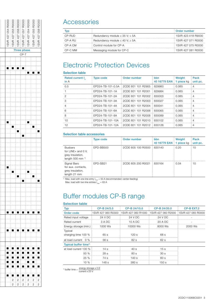

### **Accessories**

|         |                                          | Order number           |
|---------|------------------------------------------|------------------------|
| CP-RUD  | Redundancy module $\leq$ 35 V; $\leq$ 5A | 1SVR 423 418 R9000     |
| CP-A RU | Redundancy module $\leq 40$ V; $\geq 5A$ | 1 1 SVR 427 0 71 R0000 |
| CP-A CM | Control module for CP-A                  | 1 1 SVR 427 075 R0000  |
| CP-C MM | Messaging module for CP-C                | 1SVR 427 081 R0000     |

# Electronic Protection Devices

#### Selection table

| <b>Rated current I</b><br>in A | <b>Type code</b>  | Order number         | <b>bbn</b><br>40 16779 EAN | Weight<br>$\frac{1}{2}$ 1 piece kg | Pack<br>unit pc. |
|--------------------------------|-------------------|----------------------|----------------------------|------------------------------------|------------------|
| 0.5                            | FPD24-TB-101-0.5A | 2CDE 601 101 R2905   | 829960                     | 0.065                              |                  |
|                                | FPD24-TB-101-1A   | 2CDE 601 101 B2001   | 829984                     | 0.065                              | 4                |
|                                | FPD24-TB-101-2A   | 2CDE 601 101 B2002   | 830003                     | 0.065                              | 4                |
| З                              | FPD24-TB-101-3A   | 2CDE 601 101 B2003   | 830027                     | 0.065                              | 4                |
|                                | FPD24-TB-101-4A   | E 2CDE 601 101 B2004 | 830041                     | 0.065                              |                  |
| 6                              | FPD24-TB-101-6A   | 2CDE 601 101 B2006   | 830065                     | 0.065                              | 4                |
| 8                              | FPD24-TB-101-8A   | 2CDE 601 101 B2008   | 830089                     | 0.065                              |                  |
| 10                             | FPD24-TB-101-10A  | 2CDE 601 101 B2010   | 830102                     | 0.065                              | 4                |
| 12                             | EPD24-TB-101-12A  | 2CDE 601 101 B2012   | 830126                     | 0.065                              | 4                |

### Selection table accessories

|                                                                                                          | <b>Type code</b> | Order number       | bbn<br>40 16779 EAN : 1 piece kg | <b>Weight</b> | Pack<br>unit pc. |
|----------------------------------------------------------------------------------------------------------|------------------|--------------------|----------------------------------|---------------|------------------|
| <b>Busbars</b><br>for $LINE+$ and 0 V,<br>grey insulation,<br>length $500$ mm <sup><math>1)</math></sup> | EPD-BB500        | 2CDE 605 100 R0500 | 830140                           | 0.20          | l ()             |
| Signal Bars<br>for aux. contacts,<br>grey insulation,<br>length 21 mm                                    | EPD-SB21         | 2CDE 605 200 B0021 | 830164                           | 0.04          | l ()             |

<sup>1)</sup> Max. load with one line entry  $I_{\text{max}} = 50$  A (recommended: center-feeding)

Max. load with two line entries  $I_{\text{max}} = 63 \text{ A}$ 

# Buffer modules CP-B range

#### Selection table

| <b>Typ</b>                        | CP-B 24/3.0        | CP-B 24/10.0       | CP-B 24/20.0                          | <b>CP-B EXT.2</b> |
|-----------------------------------|--------------------|--------------------|---------------------------------------|-------------------|
| Order code                        | 1SVR 427 060 R0300 | 1SVR 427 060 R1000 | 1SVR 427 060 R2000 1SVR 427 065 R0000 |                   |
| Rated input voltage               | 24 V DC            | 24 V DC            | 24 V DC                               |                   |
| Rated current                     | 3 A DC             | 10 A DC            | 20 A DC                               |                   |
| Energy storage (min.) is          | 1000 Ws            | 10000 Ws           | 8000 Ws                               | 2000 Ws           |
| Typical<br>charging time 100 %    | 65 s               | 120s               | 68 s                                  |                   |
| at load current $0\%$             | 56s                | 82 s               | 62s                                   |                   |
| Typical buffer time <sup>1)</sup> |                    |                    |                                       |                   |
| at load current 100 %             | 14 <sub>s</sub>    | 40s                | 15 <sub>s</sub>                       |                   |
| 50%                               | 28s                | 80s                | 30s                                   |                   |
| 25%                               | 74 s               | 140 s              | 60 s                                  |                   |
| 10 %                              | 148 s              | 380 s              | 150s                                  |                   |

<sup>1)</sup> buffer time =  $\frac{\text{energy storage} \times 0.9}{\text{current} \times 23 \text{ V}}$